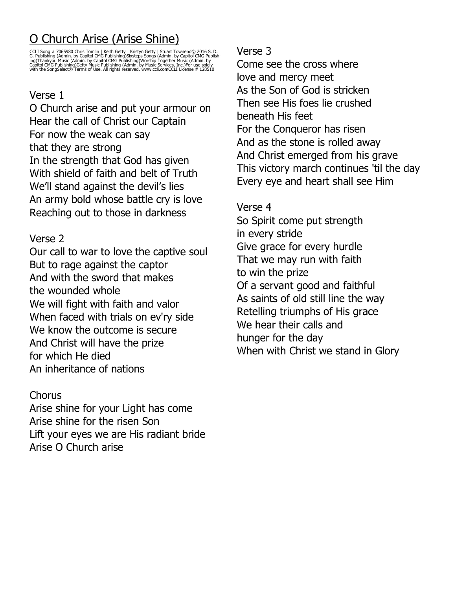# O Church Arise (Arise Shine)

CCLI Song # 7065980 Chris Tomlin | Keith Getty | Kristyn Getty | Stuart Townend© 2016 S. D.<br>G. Publishing (Admin. by Capitol CMG Publishing)Sixsteps Songs (Admin. by Capitol CMG Publish-<br>ing)Thankyou Music (Admin. by Capit

## Verse 1

O Church arise and put your armour on Hear the call of Christ our Captain For now the weak can say that they are strong In the strength that God has given With shield of faith and belt of Truth We'll stand against the devil's lies An army bold whose battle cry is love Reaching out to those in darkness

## Verse 2

Our call to war to love the captive soul But to rage against the captor And with the sword that makes the wounded whole We will fight with faith and valor When faced with trials on ev'ry side We know the outcome is secure And Christ will have the prize for which He died An inheritance of nations

## Chorus

Arise shine for your Light has come Arise shine for the risen Son Lift your eyes we are His radiant bride Arise O Church arise

### Verse 3

Come see the cross where love and mercy meet As the Son of God is stricken Then see His foes lie crushed beneath His feet For the Conqueror has risen And as the stone is rolled away And Christ emerged from his grave This victory march continues 'til the day Every eye and heart shall see Him

## Verse 4

So Spirit come put strength in every stride Give grace for every hurdle That we may run with faith to win the prize Of a servant good and faithful As saints of old still line the way Retelling triumphs of His grace We hear their calls and hunger for the day When with Christ we stand in Glory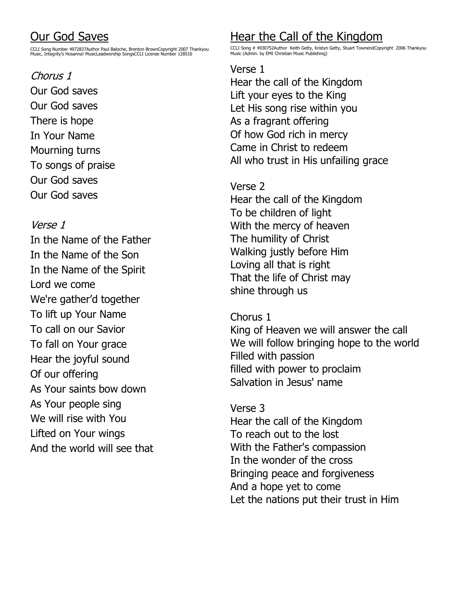## Our God Saves

CCLI Song Number 4972837Author Paul Baloche, Brenton BrownCopyright 2007 Thankyou Music, Integrity's Hosanna! MusicLeadworship SongsCCLI License Number 128510

Chorus 1 Our God saves Our God saves There is hope In Your Name Mourning turns To songs of praise Our God saves Our God saves

### Verse 1

In the Name of the Father In the Name of the Son In the Name of the Spirit Lord we come We're gather'd together To lift up Your Name To call on our Savior To fall on Your grace Hear the joyful sound Of our offering As Your saints bow down As Your people sing We will rise with You Lifted on Your wings And the world will see that

# Hear the Call of the Kingdom

CCLI Song # 4930752Author Keith Getty, Kristyn Getty, Stuart TownendCopyright 2006 Thankyou Music (Admin. by EMI Christian Music Publishing)

Verse 1 Hear the call of the Kingdom Lift your eyes to the King Let His song rise within you As a fragrant offering Of how God rich in mercy Came in Christ to redeem All who trust in His unfailing grace

Verse 2 Hear the call of the Kingdom To be children of light With the mercy of heaven The humility of Christ Walking justly before Him Loving all that is right That the life of Christ may shine through us

### Chorus 1

King of Heaven we will answer the call We will follow bringing hope to the world Filled with passion filled with power to proclaim Salvation in Jesus' name

## Verse 3

Hear the call of the Kingdom To reach out to the lost With the Father's compassion In the wonder of the cross Bringing peace and forgiveness And a hope yet to come Let the nations put their trust in Him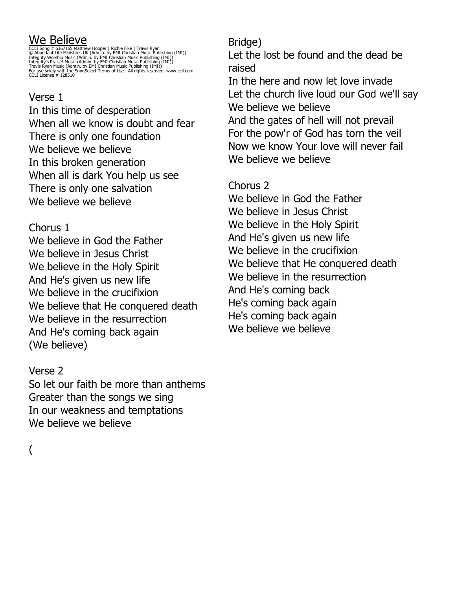## We Believe

CCLI Song # 6367165 Matthew Hooper | Richie Fike | Travis Ryan<br>© Abundant Life Ministries UK (Admin. by EMI Christian Music Publishing (IMI))<br>Integrity Worship Music (Admin. by EMI Christian Music Publishing (IMI))<br>Integri

## Verse 1

In this time of desperation When all we know is doubt and fear There is only one foundation We believe we believe In this broken generation When all is dark You help us see There is only one salvation We believe we believe

## Chorus 1

We believe in God the Father We believe in Jesus Christ We believe in the Holy Spirit And He's given us new life We believe in the crucifixion We believe that He conquered death We believe in the resurrection And He's coming back again (We believe)

## Verse 2

So let our faith be more than anthems Greater than the songs we sing In our weakness and temptations We believe we believe

## Bridge)

Let the lost be found and the dead be raised

In the here and now let love invade Let the church live loud our God we'll say We believe we believe And the gates of hell will not prevail For the pow'r of God has torn the veil Now we know Your love will never fail We believe we believe

Chorus 2

We believe in God the Father We believe in Jesus Christ We believe in the Holy Spirit And He's given us new life We believe in the crucifixion We believe that He conquered death We believe in the resurrection And He's coming back He's coming back again He's coming back again We believe we believe